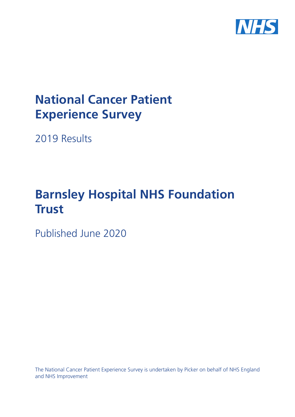

# **National Cancer Patient Experience Survey**

2019 Results

# **Barnsley Hospital NHS Foundation Trust**

Published June 2020

The National Cancer Patient Experience Survey is undertaken by Picker on behalf of NHS England and NHS Improvement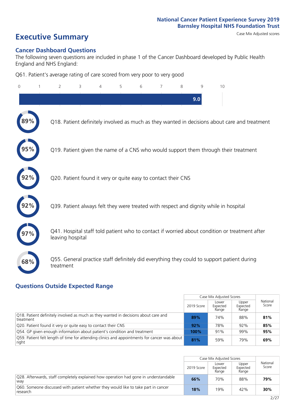# **Executive Summary** Case Mix Adjusted scores

### **Cancer Dashboard Questions**

The following seven questions are included in phase 1 of the Cancer Dashboard developed by Public Health England and NHS England:

Q61. Patient's average rating of care scored from very poor to very good

| $\Omega$ | 2                                                             | 3 | 4 | 5 | 6 | 7 | 8 | 9   | 10                                                                                            |  |
|----------|---------------------------------------------------------------|---|---|---|---|---|---|-----|-----------------------------------------------------------------------------------------------|--|
|          |                                                               |   |   |   |   |   |   | 9.0 |                                                                                               |  |
|          |                                                               |   |   |   |   |   |   |     | Q18. Patient definitely involved as much as they wanted in decisions about care and treatment |  |
|          |                                                               |   |   |   |   |   |   |     | Q19. Patient given the name of a CNS who would support them through their treatment           |  |
|          | Q20. Patient found it very or quite easy to contact their CNS |   |   |   |   |   |   |     |                                                                                               |  |
|          |                                                               |   |   |   |   |   |   |     | Q39. Patient always felt they were treated with respect and dignity while in hospital         |  |
|          | leaving hospital                                              |   |   |   |   |   |   |     | Q41. Hospital staff told patient who to contact if worried about condition or treatment after |  |
| 68%      | treatment                                                     |   |   |   |   |   |   |     | Q55. General practice staff definitely did everything they could to support patient during    |  |

### **Questions Outside Expected Range**

|                                                                                                       |            | Case Mix Adjusted Scores   |                            |                   |
|-------------------------------------------------------------------------------------------------------|------------|----------------------------|----------------------------|-------------------|
|                                                                                                       | 2019 Score | Lower<br>Expected<br>Range | Upper<br>Expected<br>Range | National<br>Score |
| O18. Patient definitely involved as much as they wanted in decisions about care and<br>treatment      | 89%        | 74%                        | 88%                        | 81%               |
| Q20. Patient found it very or quite easy to contact their CNS                                         | 92%        | 78%                        | 92%                        | 85%               |
| O54. GP given enough information about patient's condition and treatment                              | 100%       | 91%                        | 99%                        | 95%               |
| Q59. Patient felt length of time for attending clinics and appointments for cancer was about<br>right | 81%        | 59%                        | 79%                        | 69%               |

|                                                                                                |            | Case Mix Adjusted Scores   |                            |                   |
|------------------------------------------------------------------------------------------------|------------|----------------------------|----------------------------|-------------------|
|                                                                                                | 2019 Score | Lower<br>Expected<br>Range | Upper<br>Expected<br>Range | National<br>Score |
| Q28. Afterwards, staff completely explained how operation had gone in understandable<br>wav    | 66%        | 70%                        | 88%                        | 79%               |
| Q60. Someone discussed with patient whether they would like to take part in cancer<br>research | 18%        | 19%                        | 42%                        | 30%               |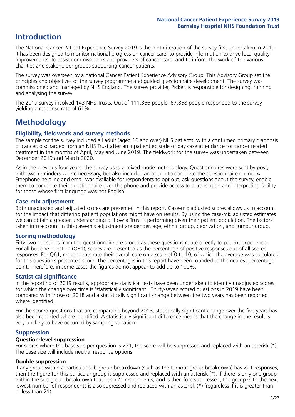### **Introduction**

The National Cancer Patient Experience Survey 2019 is the ninth iteration of the survey first undertaken in 2010. It has been designed to monitor national progress on cancer care; to provide information to drive local quality improvements; to assist commissioners and providers of cancer care; and to inform the work of the various charities and stakeholder groups supporting cancer patients.

The survey was overseen by a national Cancer Patient Experience Advisory Group. This Advisory Group set the principles and objectives of the survey programme and guided questionnaire development. The survey was commissioned and managed by NHS England. The survey provider, Picker, is responsible for designing, running and analysing the survey.

The 2019 survey involved 143 NHS Trusts. Out of 111,366 people, 67,858 people responded to the survey, yielding a response rate of 61%.

## **Methodology**

### **Eligibility, eldwork and survey methods**

The sample for the survey included all adult (aged 16 and over) NHS patients, with a confirmed primary diagnosis of cancer, discharged from an NHS Trust after an inpatient episode or day case attendance for cancer related treatment in the months of April, May and June 2019. The fieldwork for the survey was undertaken between December 2019 and March 2020.

As in the previous four years, the survey used a mixed mode methodology. Questionnaires were sent by post, with two reminders where necessary, but also included an option to complete the questionnaire online. A Freephone helpline and email was available for respondents to opt out, ask questions about the survey, enable them to complete their questionnaire over the phone and provide access to a translation and interpreting facility for those whose first language was not English.

### **Case-mix adjustment**

Both unadjusted and adjusted scores are presented in this report. Case-mix adjusted scores allows us to account for the impact that differing patient populations might have on results. By using the case-mix adjusted estimates we can obtain a greater understanding of how a Trust is performing given their patient population. The factors taken into account in this case-mix adjustment are gender, age, ethnic group, deprivation, and tumour group.

### **Scoring methodology**

Fifty-two questions from the questionnaire are scored as these questions relate directly to patient experience. For all but one question (Q61), scores are presented as the percentage of positive responses out of all scored responses. For Q61, respondents rate their overall care on a scale of 0 to 10, of which the average was calculated for this question's presented score. The percentages in this report have been rounded to the nearest percentage point. Therefore, in some cases the figures do not appear to add up to 100%.

### **Statistical significance**

In the reporting of 2019 results, appropriate statistical tests have been undertaken to identify unadjusted scores for which the change over time is 'statistically significant'. Thirty-seven scored questions in 2019 have been compared with those of 2018 and a statistically significant change between the two years has been reported where identified.

For the scored questions that are comparable beyond 2018, statistically significant change over the five years has also been reported where identified. A statistically significant difference means that the change in the result is very unlikely to have occurred by sampling variation.

### **Suppression**

### **Question-level suppression**

For scores where the base size per question is  $<$ 21, the score will be suppressed and replaced with an asterisk (\*). The base size will include neutral response options.

### **Double suppression**

If any group within a particular sub-group breakdown (such as the tumour group breakdown) has <21 responses, then the figure for this particular group is suppressed and replaced with an asterisk (\*). If there is only one group within the sub-group breakdown that has <21 respondents, and is therefore suppressed, the group with the next lowest number of respondents is also supressed and replaced with an asterisk (\*) (regardless if it is greater than or less than 21).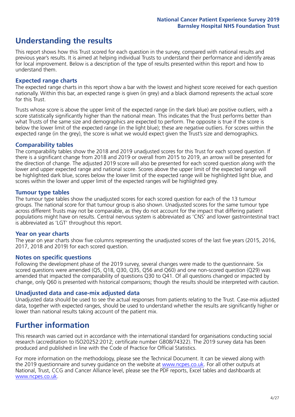### **Understanding the results**

This report shows how this Trust scored for each question in the survey, compared with national results and previous year's results. It is aimed at helping individual Trusts to understand their performance and identify areas for local improvement. Below is a description of the type of results presented within this report and how to understand them.

### **Expected range charts**

The expected range charts in this report show a bar with the lowest and highest score received for each question nationally. Within this bar, an expected range is given (in grey) and a black diamond represents the actual score for this Trust.

Trusts whose score is above the upper limit of the expected range (in the dark blue) are positive outliers, with a score statistically significantly higher than the national mean. This indicates that the Trust performs better than what Trusts of the same size and demographics are expected to perform. The opposite is true if the score is below the lower limit of the expected range (in the light blue); these are negative outliers. For scores within the expected range (in the grey), the score is what we would expect given the Trust's size and demographics.

### **Comparability tables**

The comparability tables show the 2018 and 2019 unadjusted scores for this Trust for each scored question. If there is a significant change from 2018 and 2019 or overall from 2015 to 2019, an arrow will be presented for the direction of change. The adjusted 2019 score will also be presented for each scored question along with the lower and upper expected range and national score. Scores above the upper limit of the expected range will be highlighted dark blue, scores below the lower limit of the expected range will be highlighted light blue, and scores within the lower and upper limit of the expected ranges will be highlighted grey.

### **Tumour type tables**

The tumour type tables show the unadjusted scores for each scored question for each of the 13 tumour groups. The national score for that tumour group is also shown. Unadjusted scores for the same tumour type across different Trusts may not be comparable, as they do not account for the impact that differing patient populations might have on results. Central nervous system is abbreviated as 'CNS' and lower gastrointestinal tract is abbreviated as 'LGT' throughout this report.

### **Year on year charts**

The year on year charts show five columns representing the unadjusted scores of the last five years (2015, 2016, 2017, 2018 and 2019) for each scored question.

### **Notes on specific questions**

Following the development phase of the 2019 survey, several changes were made to the questionnaire. Six scored questions were amended (Q5, Q18, Q30, Q35, Q56 and Q60) and one non-scored question (Q29) was amended that impacted the comparability of questions Q30 to Q41. Of all questions changed or impacted by change, only Q60 is presented with historical comparisons; though the results should be interpreted with caution.

### **Unadjusted data and case-mix adjusted data**

Unadjusted data should be used to see the actual responses from patients relating to the Trust. Case-mix adjusted data, together with expected ranges, should be used to understand whether the results are significantly higher or lower than national results taking account of the patient mix.

### **Further information**

This research was carried out in accordance with the international standard for organisations conducting social research (accreditation to ISO20252:2012; certificate number GB08/74322). The 2019 survey data has been produced and published in line with the Code of Practice for Official Statistics.

For more information on the methodology, please see the Technical Document. It can be viewed along with the 2019 questionnaire and survey quidance on the website at [www.ncpes.co.uk](https://www.ncpes.co.uk/supporting-documents). For all other outputs at National, Trust, CCG and Cancer Alliance level, please see the PDF reports, Excel tables and dashboards at [www.ncpes.co.uk.](https://www.ncpes.co.uk/current-results)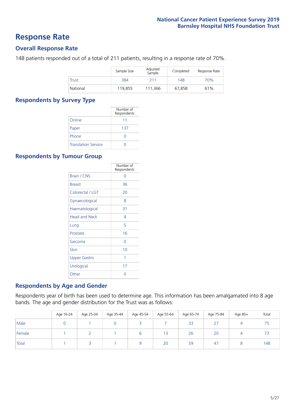### **Response Rate**

### **Overall Response Rate**

148 patients responded out of a total of 211 patients, resulting in a response rate of 70%.

|              | Sample Size | Adjusted<br>Sample | Completed | Response Rate |
|--------------|-------------|--------------------|-----------|---------------|
| <b>Trust</b> | 384         | 211                | 148       | 70%           |
| National     | 119,855     | 111.366            | 67.858    | 61%           |

### **Respondents by Survey Type**

|                            | Number of<br>Respondents |
|----------------------------|--------------------------|
| Online                     | 11                       |
| Paper                      | 137                      |
| Phone                      | 0                        |
| <b>Translation Service</b> |                          |

### **Respondents by Tumour Group**

|                      | Number of<br>Respondents |
|----------------------|--------------------------|
| <b>Brain / CNS</b>   | ∩                        |
| <b>Breast</b>        | 36                       |
| Colorectal / LGT     | 20                       |
| Gynaecological       | 8                        |
| Haematological       | 31                       |
| <b>Head and Neck</b> | 4                        |
| Lung                 | 5                        |
| Prostate             | 16                       |
| Sarcoma              | ∩                        |
| Skin                 | 10                       |
| <b>Upper Gastro</b>  | 1                        |
| Urological           | 17                       |
| Other                | n                        |

### **Respondents by Age and Gender**

Respondents year of birth has been used to determine age. This information has been amalgamated into 8 age bands. The age and gender distribution for the Trust was as follows:

|        | Age 16-24 | Age 25-34 | Age 35-44 | Age 45-54 | Age 55-64 | Age 65-74 | Age 75-84        | Age 85+ | Total |
|--------|-----------|-----------|-----------|-----------|-----------|-----------|------------------|---------|-------|
| Male   |           |           |           |           |           | 33        | $\sim$ $-$<br>2. |         |       |
| Female |           |           |           |           | 13        | 26        | 20               |         |       |
| Total  |           |           |           |           | 20        | 59        | 47               |         | 148   |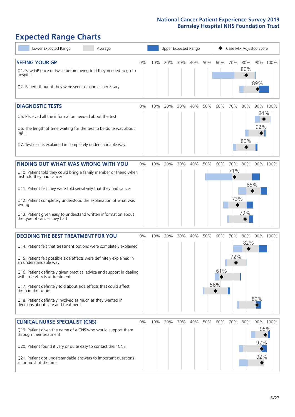# **Expected Range Charts**

| Lower Expected Range<br>Average                                                                                                                                                                                                                                                                                                                                                                                                                                                                                             |    |     | Upper Expected Range |     |     |     |                        |                   |                   | Case Mix Adjusted Score       |  |
|-----------------------------------------------------------------------------------------------------------------------------------------------------------------------------------------------------------------------------------------------------------------------------------------------------------------------------------------------------------------------------------------------------------------------------------------------------------------------------------------------------------------------------|----|-----|----------------------|-----|-----|-----|------------------------|-------------------|-------------------|-------------------------------|--|
| <b>SEEING YOUR GP</b><br>Q1. Saw GP once or twice before being told they needed to go to<br>hospital<br>Q2. Patient thought they were seen as soon as necessary                                                                                                                                                                                                                                                                                                                                                             | 0% | 10% | 20%                  | 30% | 40% | 50% | 60%                    | 70%               | 80%<br>80%        | 90% 100%<br>89%               |  |
| <b>DIAGNOSTIC TESTS</b><br>Q5. Received all the information needed about the test<br>Q6. The length of time waiting for the test to be done was about<br>right<br>Q7. Test results explained in completely understandable way                                                                                                                                                                                                                                                                                               | 0% | 10% | 20%                  | 30% | 40% | 50% | 60%                    | 70%               | 80%<br>80%        | 90% 100%<br>94%<br>92%        |  |
| <b>FINDING OUT WHAT WAS WRONG WITH YOU</b><br>Q10. Patient told they could bring a family member or friend when<br>first told they had cancer<br>Q11. Patient felt they were told sensitively that they had cancer<br>Q12. Patient completely understood the explanation of what was<br>wrong<br>Q13. Patient given easy to understand written information about<br>the type of cancer they had                                                                                                                             | 0% | 10% | 20%                  | 30% | 40% | 50% | 60%                    | 70%<br>71%<br>73% | 80%<br>85%<br>79% | 90% 100%                      |  |
| <b>DECIDING THE BEST TREATMENT FOR YOU</b><br>Q14. Patient felt that treatment options were completely explained<br>Q15. Patient felt possible side effects were definitely explained in<br>an understandable way<br>Q16. Patient definitely given practical advice and support in dealing<br>with side effects of treatment<br>Q17. Patient definitely told about side effects that could affect<br>them in the future<br>Q18. Patient definitely involved as much as they wanted in<br>decisions about care and treatment | 0% | 10% | 20%                  | 30% | 40% | 50% | 60%<br>61%<br>56%<br>♦ | 70%<br>72%        | 80%<br>82%        | 90% 100%<br>89%               |  |
| <b>CLINICAL NURSE SPECIALIST (CNS)</b><br>Q19. Patient given the name of a CNS who would support them<br>through their treatment<br>Q20. Patient found it very or quite easy to contact their CNS<br>Q21. Patient got understandable answers to important questions<br>all or most of the time                                                                                                                                                                                                                              | 0% | 10% | 20%                  | 30% | 40% | 50% | 60%                    | 70%               | 80%               | 90% 100%<br>95%<br>92%<br>92% |  |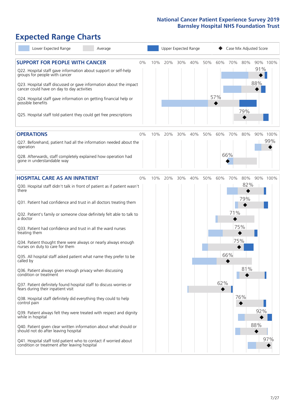# **Expected Range Charts**

| Lower Expected Range<br>Average                                                                                                                                                                                 |    |     |     |     | Upper Expected Range |     |     | Case Mix Adjusted Score |            |            |          |
|-----------------------------------------------------------------------------------------------------------------------------------------------------------------------------------------------------------------|----|-----|-----|-----|----------------------|-----|-----|-------------------------|------------|------------|----------|
| <b>SUPPORT FOR PEOPLE WITH CANCER</b><br>Q22. Hospital staff gave information about support or self-help<br>groups for people with cancer<br>Q23. Hospital staff discussed or gave information about the impact | 0% | 10% | 20% | 30% | 40%                  | 50% | 60% | 70%                     | 80%        | 91%<br>88% | 90% 100% |
| cancer could have on day to day activities<br>Q24. Hospital staff gave information on getting financial help or<br>possible benefits                                                                            |    |     |     |     |                      |     | 57% |                         | 79%        |            |          |
| Q25. Hospital staff told patient they could get free prescriptions                                                                                                                                              |    |     |     |     |                      |     |     |                         |            |            |          |
| <b>OPERATIONS</b>                                                                                                                                                                                               | 0% | 10% | 20% | 30% | 40%                  | 50% | 60% | 70%                     | 80%        |            | 90% 100% |
| Q27. Beforehand, patient had all the information needed about the<br>operation                                                                                                                                  |    |     |     |     |                      |     |     |                         |            |            | 99%      |
| Q28. Afterwards, staff completely explained how operation had<br>gone in understandable way                                                                                                                     |    |     |     |     |                      |     |     | 66%                     |            |            |          |
| <b>HOSPITAL CARE AS AN INPATIENT</b>                                                                                                                                                                            | 0% | 10% | 20% | 30% | 40%                  | 50% | 60% | 70%                     | 80%        |            | 90% 100% |
| Q30. Hospital staff didn't talk in front of patient as if patient wasn't<br>there                                                                                                                               |    |     |     |     |                      |     |     |                         | 82%<br>79% |            |          |
| Q31. Patient had confidence and trust in all doctors treating them                                                                                                                                              |    |     |     |     |                      |     |     |                         |            |            |          |
| Q32. Patient's family or someone close definitely felt able to talk to<br>a doctor                                                                                                                              |    |     |     |     |                      |     |     | 71%                     |            |            |          |
| Q33. Patient had confidence and trust in all the ward nurses<br>treating them                                                                                                                                   |    |     |     |     |                      |     |     | 75%                     |            |            |          |
| Q34. Patient thought there were always or nearly always enough<br>nurses on duty to care for them                                                                                                               |    |     |     |     |                      |     |     | 75%                     |            |            |          |
| Q35. All hospital staff asked patient what name they prefer to be<br>called by                                                                                                                                  |    |     |     |     |                      |     |     | 66%                     |            |            |          |
| Q36. Patient always given enough privacy when discussing<br>condition or treatment                                                                                                                              |    |     |     |     |                      |     |     |                         | 81%        |            |          |
| Q37. Patient definitely found hospital staff to discuss worries or<br>fears during their inpatient visit                                                                                                        |    |     |     |     |                      |     | 62% |                         |            |            |          |
| Q38. Hospital staff definitely did everything they could to help<br>control pain                                                                                                                                |    |     |     |     |                      |     |     |                         | 76%        |            |          |
| Q39. Patient always felt they were treated with respect and dignity<br>while in hospital                                                                                                                        |    |     |     |     |                      |     |     |                         |            | 92%        |          |
| Q40. Patient given clear written information about what should or<br>should not do after leaving hospital                                                                                                       |    |     |     |     |                      |     |     |                         |            | 88%        |          |
| Q41. Hospital staff told patient who to contact if worried about<br>condition or treatment after leaving hospital                                                                                               |    |     |     |     |                      |     |     |                         |            |            | 97%      |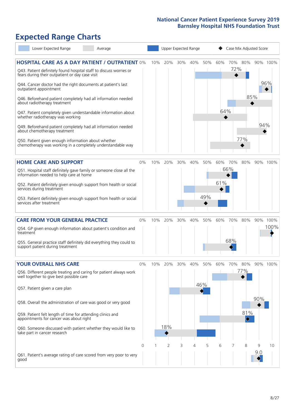# **Expected Range Charts**

|           | Lower Expected Range                                                                                                                                                                                                                                                                                                                                                                                                                                                                                                                                                                                                                                                                                   | Average |         |     |                 |          | Upper Expected Range |                 |            |                |                                           | Case Mix Adjusted Score |                  |
|-----------|--------------------------------------------------------------------------------------------------------------------------------------------------------------------------------------------------------------------------------------------------------------------------------------------------------------------------------------------------------------------------------------------------------------------------------------------------------------------------------------------------------------------------------------------------------------------------------------------------------------------------------------------------------------------------------------------------------|---------|---------|-----|-----------------|----------|----------------------|-----------------|------------|----------------|-------------------------------------------|-------------------------|------------------|
|           | <b>HOSPITAL CARE AS A DAY PATIENT / OUTPATIENT 0%</b><br>Q43. Patient definitely found hospital staff to discuss worries or<br>fears during their outpatient or day case visit<br>Q44. Cancer doctor had the right documents at patient's last<br>outpatient appointment<br>Q46. Beforehand patient completely had all information needed<br>about radiotherapy treatment<br>Q47. Patient completely given understandable information about<br>whether radiotherapy was working<br>Q49. Beforehand patient completely had all information needed<br>about chemotherapy treatment<br>Q50. Patient given enough information about whether<br>chemotherapy was working in a completely understandable way |         |         | 10% | 20%             | $30\%$   | 40%                  | 50%             | 60%<br>64% | 70%<br>72%     | 80%<br>85%<br>77%                         | 94%                     | 90% 100%<br>96%  |
|           | <b>HOME CARE AND SUPPORT</b><br>Q51. Hospital staff definitely gave family or someone close all the<br>information needed to help care at home<br>Q52. Patient definitely given enough support from health or social<br>services during treatment<br>Q53. Patient definitely given enough support from health or social<br>services after treatment                                                                                                                                                                                                                                                                                                                                                    |         | 0%      | 10% | 20%             | 30%      | 40%                  | 50%<br>49%      | 61%        | 60% 70%<br>66% | 80%                                       |                         | 90% 100%         |
| treatment | <b>CARE FROM YOUR GENERAL PRACTICE</b><br>Q54. GP given enough information about patient's condition and<br>Q55. General practice staff definitely did everything they could to<br>support patient during treatment                                                                                                                                                                                                                                                                                                                                                                                                                                                                                    |         | 0%      | 10% | 20%             | 30%      | 40%                  | 50%             | 60%        | 70%<br>68%     | 80%                                       |                         | 90% 100%<br>100% |
|           | <b>YOUR OVERALL NHS CARE</b><br>Q56. Different people treating and caring for patient always work<br>well together to give best possible care<br>Q57. Patient given a care plan<br>Q58. Overall the administration of care was good or very good<br>Q59. Patient felt length of time for attending clinics and<br>appointments for cancer was about right<br>Q60. Someone discussed with patient whether they would like to<br>take part in cancer research                                                                                                                                                                                                                                            |         | 0%<br>0 | 10% | 20%<br>18%<br>2 | 30%<br>3 | 40%<br>4             | 50%<br>46%<br>5 | 60%<br>6   | 70%            | 80%<br>77%<br>81%<br>$\blacklozenge$<br>8 | 90%<br>9                | 90% 100%<br>10   |
| good      | Q61. Patient's average rating of care scored from very poor to very                                                                                                                                                                                                                                                                                                                                                                                                                                                                                                                                                                                                                                    |         |         |     |                 |          |                      |                 |            |                |                                           | 9.0                     |                  |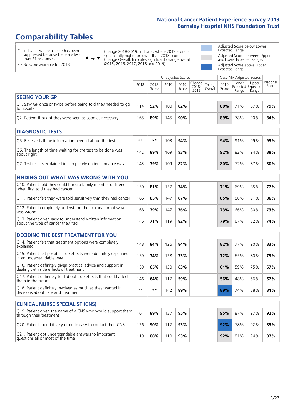# **Comparability Tables**

\* Indicates where a score has been suppressed because there are less than 21 responses.

\*\* No score available for 2018.

 $\triangle$  or  $\nabla$ 

Change 2018-2019: Indicates where 2019 score is significantly higher or lower than 2018 score Change Overall: Indicates significant change overall (2015, 2016, 2017, 2018 and 2019).

Adjusted Score below Lower Expected Range Adjusted Score between Upper and Lower Expected Ranges Adjusted Score above Upper Expected Range

|                                                                             | Case Mix Adjusted Scores<br>Unadjusted Scores |               |            |               |                         |                   |               |                |                                     |                   |
|-----------------------------------------------------------------------------|-----------------------------------------------|---------------|------------|---------------|-------------------------|-------------------|---------------|----------------|-------------------------------------|-------------------|
|                                                                             | 2018<br>n                                     | 2018<br>Score | 2019<br>n. | 2019<br>Score | Change<br>2018-<br>2019 | Change<br>Overall | 2019<br>Score | Lower<br>Range | Upper<br>Expected Expected<br>Range | National<br>Score |
| <b>SEEING YOUR GP</b>                                                       |                                               |               |            |               |                         |                   |               |                |                                     |                   |
| Q1. Saw GP once or twice before being told they needed to go<br>to hospital | 14                                            | 92%           | 100        | 82%           |                         |                   | 80%           | 71%            | 87%                                 | 79%               |
| Q2. Patient thought they were seen as soon as necessary                     | 165                                           | 89%           | 145        | 90%           |                         |                   | 89%           | 78%            | 90%                                 | 84%               |

| <b>DIAGNOSTIC TESTS</b>                                                   |       |     |     |     |     |     |     |     |
|---------------------------------------------------------------------------|-------|-----|-----|-----|-----|-----|-----|-----|
| Q5. Received all the information needed about the test                    | $***$ | **  | 103 | 94% | 94% | 91% | 99% | 95% |
| Q6. The length of time waiting for the test to be done was<br>about right | 142   | 89% | 109 | 93% | 92% | 82% | 94% | 88% |
| Q7. Test results explained in completely understandable way               | 143   | 79% | 109 | 82% | 80% | 72% | 87% | 80% |

| <b>FINDING OUT WHAT WAS WRONG WITH YOU</b>                                                      |     |     |     |     |     |     |     |     |
|-------------------------------------------------------------------------------------------------|-----|-----|-----|-----|-----|-----|-----|-----|
| Q10. Patient told they could bring a family member or friend<br>when first told they had cancer | 150 | 81% | 137 | 74% | 71% | 69% | 85% | 77% |
| Q11. Patient felt they were told sensitively that they had cancer                               | 166 | 85% | 147 | 87% | 85% | 80% | 91% | 86% |
| Q12. Patient completely understood the explanation of what<br>was wrong                         | 168 | 79% | 147 | 76% | 73% | 66% | 80% | 73% |
| Q13. Patient given easy to understand written information<br>about the type of cancer they had  | 146 | 71% | 119 | 82% | 79% | 67% | 82% | 74% |

| <b>DECIDING THE BEST TREATMENT FOR YOU</b>                                                              |      |     |     |     |     |     |     |     |
|---------------------------------------------------------------------------------------------------------|------|-----|-----|-----|-----|-----|-----|-----|
| Q14. Patient felt that treatment options were completely<br>explained                                   | 148  | 84% | 126 | 84% | 82% | 77% | 90% | 83% |
| Q15. Patient felt possible side effects were definitely explained<br>in an understandable way           | 159  | 74% | 128 | 73% | 72% | 65% | 80% | 73% |
| Q16. Patient definitely given practical advice and support in<br>dealing with side effects of treatment | 159  | 65% | 30  | 63% | 61% | 59% | 75% | 67% |
| Q17. Patient definitely told about side effects that could affect<br>them in the future                 | 146  | 64% | 17  | 59% | 56% | 48% | 66% | 57% |
| Q18. Patient definitely involved as much as they wanted in<br>decisions about care and treatment        | $**$ | **  | 42  | 89% | 89% | 74% | 88% | 81% |

| <b>CLINICAL NURSE SPECIALIST (CNS)</b>                                                    |     |        |     |     |  |     |     |     |     |
|-------------------------------------------------------------------------------------------|-----|--------|-----|-----|--|-----|-----|-----|-----|
| Q19. Patient given the name of a CNS who would support them<br>through their treatment    | 161 | 89%    | 137 | 95% |  | 95% | 87% | 97% | 92% |
| Q20. Patient found it very or quite easy to contact their CNS                             | 126 | $90\%$ | 112 | 93% |  | 92% | 78% | 92% | 85% |
| Q21. Patient got understandable answers to important<br>questions all or most of the time | 19  | 88%    | 110 | 93% |  | 92% | 81% | 94% | 87% |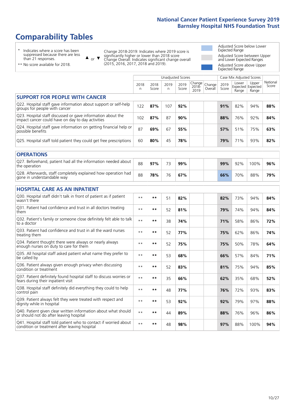# **Comparability Tables**

\* Indicates where a score has been suppressed because there are less than 21 responses.

\*\* No score available for 2018.

 $\triangle$  or  $\nabla$ 

Change 2018-2019: Indicates where 2019 score is significantly higher or lower than 2018 score Change Overall: Indicates significant change overall (2015, 2016, 2017, 2018 and 2019).

Adjusted Score below Lower Expected Range Adjusted Score between Upper and Lower Expected Ranges Adjusted Score above Upper Expected Range

|                                                                                                                   |              |               | <b>Unadjusted Scores</b> |               |                         |                   |               | Case Mix Adjusted Scores |                                     |                   |
|-------------------------------------------------------------------------------------------------------------------|--------------|---------------|--------------------------|---------------|-------------------------|-------------------|---------------|--------------------------|-------------------------------------|-------------------|
|                                                                                                                   | 2018<br>n.   | 2018<br>Score | 2019<br>n                | 2019<br>Score | Change<br>2018-<br>2019 | Change<br>Overall | 2019<br>Score | Lower<br>Range           | Upper<br>Expected Expected<br>Range | National<br>Score |
| <b>SUPPORT FOR PEOPLE WITH CANCER</b>                                                                             |              |               |                          |               |                         |                   |               |                          |                                     |                   |
| Q22. Hospital staff gave information about support or self-help<br>groups for people with cancer                  | 122          | 87%           | 107                      | 92%           |                         |                   | 91%           | 82%                      | 94%                                 | 88%               |
| Q23. Hospital staff discussed or gave information about the<br>impact cancer could have on day to day activities  | 102          | 87%           | 87                       | 90%           |                         |                   | 88%           | 76%                      | 92%                                 | 84%               |
| Q24. Hospital staff gave information on getting financial help or<br>possible benefits                            | 87           | 69%           | 67                       | 55%           |                         |                   | 57%           | 51%                      | 75%                                 | 63%               |
| Q25. Hospital staff told patient they could get free prescriptions                                                | 60           | 80%           | 45                       | 78%           |                         |                   | 79%           | 71%                      | 93%                                 | 82%               |
| <b>OPERATIONS</b>                                                                                                 |              |               |                          |               |                         |                   |               |                          |                                     |                   |
| Q27. Beforehand, patient had all the information needed about<br>the operation                                    | 88           | 97%           | 73                       | 99%           |                         |                   | 99%           | 92%                      | 100%                                | 96%               |
| Q28. Afterwards, staff completely explained how operation had<br>gone in understandable way                       | 88           | 78%           | 76                       | 67%           |                         |                   | 66%           | 70%                      | 88%                                 | 79%               |
| <b>HOSPITAL CARE AS AN INPATIENT</b>                                                                              |              |               |                          |               |                         |                   |               |                          |                                     |                   |
| Q30. Hospital staff didn't talk in front of patient as if patient<br>wasn't there                                 | $**$         | $***$         | 51                       | 82%           |                         |                   | 82%           | 73%                      | 94%                                 | 84%               |
| Q31. Patient had confidence and trust in all doctors treating<br>them                                             | $* *$        | $***$         | 52                       | 81%           |                         |                   | 79%           | 74%                      | 94%                                 | 84%               |
| Q32. Patient's family or someone close definitely felt able to talk<br>to a doctor                                | $* *$        | $***$         | 38                       | 74%           |                         |                   | 71%           | 58%                      | 86%                                 | 72%               |
| Q33. Patient had confidence and trust in all the ward nurses<br>treating them                                     | $\star\star$ | **            | 52                       | 77%           |                         |                   | 75%           | 62%                      | 86%                                 | 74%               |
| Q34. Patient thought there were always or nearly always<br>enough nurses on duty to care for them                 | $\star\star$ | $***$         | 52                       | 75%           |                         |                   | 75%           | 50%                      | 78%                                 | 64%               |
| Q35. All hospital staff asked patient what name they prefer to<br>be called by                                    | $**$         | $***$         | 53                       | 68%           |                         |                   | 66%           | 57%                      | 84%                                 | 71%               |
| Q36. Patient always given enough privacy when discussing<br>condition or treatment                                | $* *$        | $**$          | 52                       | 83%           |                         |                   | 81%           | 75%                      | 94%                                 | 85%               |
| Q37. Patient definitely found hospital staff to discuss worries or<br>fears during their inpatient visit          | $* *$        | **            | 35                       | 66%           |                         |                   | 62%           | 35%                      | 68%                                 | 52%               |
| Q38. Hospital staff definitely did everything they could to help<br>control pain                                  | $* *$        | $***$         | 48                       | 77%           |                         |                   | 76%           | 72%                      | 93%                                 | 83%               |
| Q39. Patient always felt they were treated with respect and<br>dignity while in hospital                          | $\star\star$ | $***$         | 53                       | 92%           |                         |                   | 92%           | 79%                      | 97%                                 | 88%               |
| Q40. Patient given clear written information about what should<br>or should not do after leaving hospital         | $**$         | $***$         | 44                       | 89%           |                         |                   | 88%           | 76%                      | 96%                                 | 86%               |
| Q41. Hospital staff told patient who to contact if worried about<br>condition or treatment after leaving hospital | $\star\star$ | $***$         | 48                       | 98%           |                         |                   | 97%           | 88%                      | 100%                                | 94%               |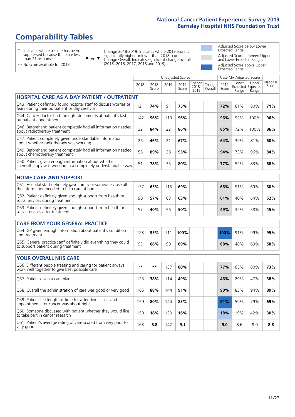# **Comparability Tables**

\* Indicates where a score has been suppressed because there are less than 21 responses.

\*\* No score available for 2018.

 $\triangle$  or  $\nabla$ 

Change 2018-2019: Indicates where 2019 score is significantly higher or lower than 2018 score Change Overall: Indicates significant change overall (2015, 2016, 2017, 2018 and 2019).

Adjusted Score below Lower Expected Range Adjusted Score between Upper and Lower Expected Ranges Adjusted Score above Upper Expected Range

|                                                                                                                       |           |               |           | <b>Unadjusted Scores</b> |                         |                   |               | Case Mix Adjusted Scores |                                     |                   |
|-----------------------------------------------------------------------------------------------------------------------|-----------|---------------|-----------|--------------------------|-------------------------|-------------------|---------------|--------------------------|-------------------------------------|-------------------|
|                                                                                                                       | 2018<br>n | 2018<br>Score | 2019<br>n | 2019<br>Score            | Change<br>2018-<br>2019 | Change<br>Overall | 2019<br>Score | Lower<br>Range           | Upper<br>Expected Expected<br>Range | National<br>Score |
| <b>HOSPITAL CARE AS A DAY PATIENT / OUTPATIENT</b>                                                                    |           |               |           |                          |                         |                   |               |                          |                                     |                   |
| Q43. Patient definitely found hospital staff to discuss worries or<br>fears during their outpatient or day case visit | 121       | 74%           | 91        | 75%                      |                         |                   | 72%           | 61%                      | 80%                                 | 71%               |
| Q44. Cancer doctor had the right documents at patient's last<br>outpatient appointment                                | 142       | 96%           | 113       | 96%                      |                         |                   | 96%           | 92%                      | 100%                                | 96%               |
| Q46. Beforehand patient completely had all information needed<br>about radiotherapy treatment                         | 32        | 84%           | 22        | 86%                      |                         |                   | 85%           | 72%                      | 100%                                | 86%               |
| Q47. Patient completely given understandable information<br>about whether radiotherapy was working                    | 26        | 46%           | 21        | 67%                      |                         |                   | 64%           | 39%                      | 81%                                 | 60%               |
| Q49. Beforehand patient completely had all information needed<br>about chemotherapy treatment                         | 55        | 89%           | 38        | 95%                      |                         |                   | 94%           | 73%                      | 96%                                 | 84%               |
| Q50. Patient given enough information about whether<br>chemotherapy was working in a completely understandable way    | 51        | 78%           | 35        | 80%                      |                         |                   | 77%           | 52%                      | 83%                                 | 68%               |
| <b>HOME CARE AND SUPPORT</b>                                                                                          |           |               |           |                          |                         |                   |               |                          |                                     |                   |
| Q51. Hospital staff definitely gave family or someone close all<br>the information needed to help care at home        | 137       | 65%           | 115       | 69%                      |                         |                   | 66%           | 51%                      | 69%                                 | 60%               |
| Q52. Patient definitely given enough support from health or<br>social services during treatment                       | 90        | 57%           | 83        | 63%                      |                         |                   | 61%           | 40%                      | 64%                                 | 52%               |
| Q53. Patient definitely given enough support from health or<br>social services after treatment                        | 57        | 40%           | 56        | 50%                      |                         |                   | 49%           | 32%                      | 58%                                 | 45%               |
| CARE FROM YOUR GENERAL PRACTICE                                                                                       |           |               |           |                          |                         |                   |               |                          |                                     |                   |
| Q54. GP given enough information about patient's condition<br>and treatment                                           | 123       | 95%           | 111       | 100%                     |                         |                   | 100%          | 91%                      | 99%                                 | 95%               |
| Q55. General practice staff definitely did everything they could<br>to support patient during treatment               | 93        | 66%           | 90        | 69%                      |                         |                   | 68%           | 48%                      | 69%                                 | 58%               |
| <b>YOUR OVERALL NHS CARE</b>                                                                                          |           |               |           |                          |                         |                   |               |                          |                                     |                   |
| Q56. Different people treating and caring for patient always<br>work well together to give best possible care         | $* *$     | $\star\star$  | 137       | 80%                      |                         |                   | 77%           | 65%                      | 80%                                 | 73%               |
| Q57. Patient given a care plan                                                                                        | 125       | 38%           | 114       | 49%                      |                         |                   | 46%           | 29%                      | 47%                                 | 38%               |
| Q58. Overall the administration of care was good or very good                                                         | 165       | 88%           | 144       | 91%                      |                         |                   | 90%           | 83%                      | 94%                                 | 89%               |
| Q59. Patient felt length of time for attending clinics and<br>appointments for cancer was about right                 | 159       | 80%           | 144       | 83%                      |                         |                   | 81%           | 59%                      | 79%                                 | 69%               |
| Q60. Someone discussed with patient whether they would like<br>to take part in cancer research                        | 150       | 18%           | 130       | 16%                      |                         |                   | <b>18%</b>    | 19%                      | 42%                                 | 30%               |
| Q61. Patient's average rating of care scored from very poor to<br>very good                                           | 163       | 8.8           | 142       | 9.1                      |                         |                   | 9.0           | 8.6                      | 9.0                                 | 8.8               |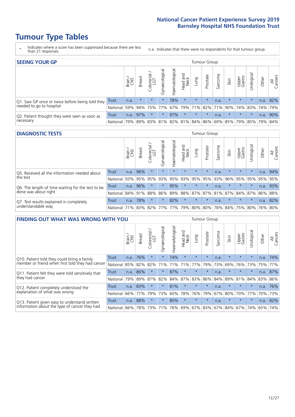# **Tumour Type Tables**

- \* Indicates where a score has been suppressed because there are less than 21 responses.
- n.a. Indicates that there were no respondents for that tumour group.

| <b>SEEING YOUR GP</b>                           |          |              |               |            |                |                |                  |                       | Tumour Group |         |         |                 |                                                                       |       |                |
|-------------------------------------------------|----------|--------------|---------------|------------|----------------|----------------|------------------|-----------------------|--------------|---------|---------|-----------------|-----------------------------------------------------------------------|-------|----------------|
|                                                 |          | Brain<br>CNS | <b>Breast</b> | Colorectal | Gynaecological | Haematological | Head and<br>Neck | <b>Dung</b>           | Prostate     | Sarcoma | Skin    | Upper<br>Gastro | Urological                                                            | Other | All<br>Cancers |
| Q1. Saw GP once or twice before being told they | Trust    | n.a.         | $\star$       | $\star$    | $\star$        | 78%            | $\star$          | $\star$               | $\star$      | n.a.    | $\star$ | $\star$         | $\star$                                                               | n.a.  | 82%            |
| needed to go to hospital                        | National | 59%          |               | 94% 75%    | 77%            |                |                  | 67%   79%   71%   82% |              | 71%     |         |                 | 90% 74% 83% 74% 79%                                                   |       |                |
| Q2. Patient thought they were seen as soon as   | Trust    | n.a.         | 97%           | $\star$    | $\star$        | 97%            | $\star$          | $\star$               | $\star$      | n.a.    | $\star$ | $\star$         | $\star$                                                               | n.a.  | 90%            |
| necessary                                       | National | 79%          |               |            |                |                |                  |                       |              |         |         |                 | 89%   83%   81%   82%   81%   84%   86%   69%   85%   79%   85%   79% |       | 84%            |

#### **DIAGNOSTIC TESTS** Tumour Group

|                                                   |                  | Brain | <b>Breast</b>                           | olorectal.<br>LGT<br>Ü | Gynaecological | Haematological | Head and<br>Neck | Lung    | Prostate | Sarcoma | Skin    | Upper<br>Gastro | Irological                                  | Other | All<br>Cancers |
|---------------------------------------------------|------------------|-------|-----------------------------------------|------------------------|----------------|----------------|------------------|---------|----------|---------|---------|-----------------|---------------------------------------------|-------|----------------|
| Q5. Received all the information needed about     | <b>Trust</b>     | n.a.  | 96%                                     |                        | $\star$        | $\star$        | $\star$          | $\star$ | $\star$  | n.a.    | $\star$ | $\star$         | $\star$                                     | n.a.  | 94%            |
| the test                                          | National         | 93%   | 95%                                     | 95%                    | 93%            | 95%            |                  | 93% 95% | 95%      | 93%     | 96%     | 95%             | 95%                                         | 95%   | 95%            |
| Q6. The length of time waiting for the test to be | Trust            | n.a.  | 96%                                     |                        | $\star$        | 95%            | $\star$          | $\star$ | $\star$  | n.a.    |         | $\star$         | $\star$                                     | n.a.  | 93%            |
| done was about right                              | National 84% 91% |       |                                         | 88%                    |                |                |                  |         |          |         |         |                 | 86% 89% 88% 87% 87% 81% 87% 84% 87% 86% 88% |       |                |
| Q7. Test results explained in completely          | Trust            | n.a.  | 78%                                     |                        | $\star$        | 82%            | $\star$          | $\star$ | $\star$  | n.a.    | $\star$ | $\star$         | $\star$                                     | n.a.  | 82%            |
| understandable way                                | National 71%     |       | 83%   82%   77%   77%   79%   80%   80% |                        |                |                |                  |         |          |         |         |                 | 78% 84% 75% 80% 76% 80%                     |       |                |

| <b>FINDING OUT WHAT WAS WRONG WITH YOU</b>        |              |       |               |                          |                |                |                        |                 | <b>Tumour Group</b> |         |         |                 |           |       |                |
|---------------------------------------------------|--------------|-------|---------------|--------------------------|----------------|----------------|------------------------|-----------------|---------------------|---------|---------|-----------------|-----------|-------|----------------|
|                                                   |              | Brain | <b>Breast</b> | ╮<br>Colorectal /<br>LGT | Gynaecological | Haematological | ad and<br>Neck<br>Head | Lung            | Prostate            | Sarcoma | Skin    | Upper<br>Gastro | Jrologica | Other | All<br>Cancers |
| Q10. Patient told they could bring a family       | <b>Trust</b> | n.a.  | 76%           | $\star$                  | $\star$        | 74%            | $\star$                | $\star$         | $\star$             | n.a.    | $\star$ | $\star$         | $\star$   | n.a.  | 74%            |
| member or friend when first told they had cancer  | National     | 85%   | 82%           | 82%                      | 71%            | 71%            | 71%                    | 77%             | 79%                 | 73%     | 69%     | 76%             | 73%       | 75%   | 77%            |
| Q11. Patient felt they were told sensitively that | Trust        | n.a.  | 86%           | $\star$                  | $\star$        | 87%            | $\star$                | $\star$         | $\star$             | n.a.    | $\star$ | $\star$         | $\star$   | n.a.  | 87%            |
| they had cancer                                   | National     | 79%   | 89%           | 87%                      | 82%            | 84%            | 87%                    | 83%             | 86%                 | 84%     | 89%     | 81%             | 84%       | 83%   | 86%            |
| Q12. Patient completely understood the            | Trust        | n.a.  | 83%           |                          | $\star$        | 61%            | $\star$                | $\star$         | $\star$             | n.a.    | $\star$ | $\star$         | $\star$   | n.a.  | 76%            |
| explanation of what was wrong                     | National     | 66%   | 77%           | 79%                      | 73%            | 60%            | 78%                    | 76%             | 79%                 | 67%     | 80%     | 70%             | 77%       | 70%   | 73%            |
| Q13. Patient given easy to understand written     | Trust        | n.a.  | 88%           | $\star$                  | $\star$        | 85%            | $\ast$                 | $\star$         | $\star$             | n.a.    | $\star$ | $\star$         | $\star$   | n.a.  | 82%            |
| information about the type of cancer they had     | National     | 66%   | 78%           | 73%                      | 71%            | 76%            |                        | 69%   67%   83% |                     |         | 67% 84% | 67%             | 74%       | 65%   | 74%            |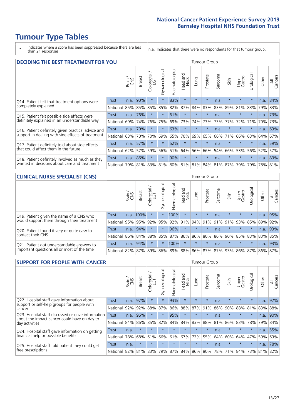# **Tumour Type Tables**

\* Indicates where a score has been suppressed because there are less than 21 responses.

n.a. Indicates that there were no respondents for that tumour group.

| <b>DECIDING THE BEST TREATMENT FOR YOU</b>         |          |       |               |                             |                |                |                         |         | <b>Tumour Group</b> |         |                                         |                 |            |         |                |
|----------------------------------------------------|----------|-------|---------------|-----------------------------|----------------|----------------|-------------------------|---------|---------------------|---------|-----------------------------------------|-----------------|------------|---------|----------------|
|                                                    |          | Brain | <b>Breast</b> | olorectal.<br>LGT<br>$\cup$ | Gynaecological | Haematological | ead and<br>Neck<br>Head | Lung    | Prostate            | Sarcoma | Skin                                    | Upper<br>Gastro | Jrological | Other   | All<br>Cancers |
| Q14. Patient felt that treatment options were      | Trust    | n.a.  | 90%           | $\star$                     | $\star$        | 83%            | $\star$                 | $\star$ | $\star$             | n.a.    | $\ast$                                  | $\star$         | $\star$    | n.a.    | 84%            |
| completely explained                               | National | 85%   | 85%           | 85%                         | 85%            | 82%            | 87%                     | 84%     | 83%                 | 83%     | 89%                                     | 81%             | 83%        | 79%     | 83%            |
| Q15. Patient felt possible side effects were       | Trust    | n.a.  | 76%           |                             | $\star$        | 61%            | $\star$                 | $\star$ | $\star$             | n.a.    | $\star$                                 | $\star$         | $\star$    | n.a.    | 73%            |
| definitely explained in an understandable way      | National | 69%   | 74%           | 76%                         | 75%            | 69%            | 73%                     | 74%     | 73%                 | 73%     | 77%                                     | 72%             | 71%        | 70%     | 73%            |
| Q16. Patient definitely given practical advice and | Trust    | n.a.  | 70%           |                             | $\star$        | 63%            | $\star$                 | $\star$ | $\star$             | n.a.    | $\star$                                 | $\star$         | $\star$    | n.a.    | 63%            |
| support in dealing with side effects of treatment  | National | 63%   | 70%           | 70%                         | 69%            | 65%            | 70%                     | 69%     | 65%                 | 66%     | 71%                                     | 66%             | 63%        | 64%     | 67%            |
| Q17. Patient definitely told about side effects    | Trust    | n.a.  | 57%           |                             | $\star$        | 52%            | $\star$                 | $\star$ | $\star$             | n.a.    | $\star$                                 | $\star$         | $\star$    | n.a.    | 59%            |
| that could affect them in the future               | National | 62%   | 57%           | 59%                         | 56%            | 51%            | 64%                     | 56%     | 66%                 | 54%     | 66%                                     | 53%             | 56%        | 52%     | 57%            |
| Q18. Patient definitely involved as much as they   | Trust    | n.a.  | 86%           | $\star$                     | $\star$        | 90%            | $\star$                 | $\star$ | $\star$             | n.a.    | $\star$                                 | $\star$         | $\star$    | n.a.    | 89%            |
| wanted in decisions about care and treatment       | National | 79%   |               |                             |                |                |                         |         |                     |         | 81% 83% 81% 80% 81% 81% 84% 81% 87% 79% |                 | 79%        | 78% 81% |                |

#### **CLINICAL NURSE SPECIALIST (CNS)** Tumour Group

|                                             |                      | Brain | <b>Breast</b> | olorectal<br>LGT<br>U | $\overline{\sigma}$<br>aecologic<br>$\bar{\xi}$ | ᠊ᢛ<br>Haematologic          | Head and<br>Neck | Lung            | Prostate | Sarcoma | Skin          | Upper<br>Gastro | σ<br>rologica | Other | All<br>Cancers |
|---------------------------------------------|----------------------|-------|---------------|-----------------------|-------------------------------------------------|-----------------------------|------------------|-----------------|----------|---------|---------------|-----------------|---------------|-------|----------------|
| Q19. Patient given the name of a CNS who    | <b>Trust</b>         |       | n.a. 100%     |                       |                                                 | 100%                        | $\star$          | $\star$         | $\star$  | n.a.    | $\star$       | $\star$         | $\star$       | n.a.  | 95%            |
| would support them through their treatment  | National             | 95%   | 95%           | 92%                   | 95%                                             | 92%                         | 91%              | 94% 91%         |          |         | $ 91\% 91\% $ | 93%             | 85%           | 89%   | 92%            |
| Q20. Patient found it very or quite easy to | Trust                | n.a.  | 94%           |                       | $\star$                                         | 96%                         | $\star$          | $\star$         | $\star$  | n.a.    | $\star$       | $\star$         | $\star$       | n.a.  | 93%            |
| contact their CNS                           | National I           |       | 86% 84% 88%   |                       | 85%                                             | 87%                         |                  | 86%   86%   80% |          |         |               | 86% 90% 85% 83% |               | 83%   | 85%            |
| Q21. Patient got understandable answers to  | Trust                | n.a.  | 94%           |                       |                                                 | 100%                        | $\star$          | $\star$         | $\star$  | n.a.    | $\star$       | $\star$         | $\star$       | n.a.  | 93%            |
| important questions all or most of the time | National   82%   87% |       |               | 89%                   |                                                 | 86% 89% 88% 86% 87% 87% 93% |                  |                 |          |         |               | 86% 87%         |               | 86%   | 87%            |

| <b>SUPPORT FOR PEOPLE WITH CANCER</b>                                                             |              |       |               |            |                |                |                         |             | <b>Tumour Group</b> |         |         |                 |            |       |                |
|---------------------------------------------------------------------------------------------------|--------------|-------|---------------|------------|----------------|----------------|-------------------------|-------------|---------------------|---------|---------|-----------------|------------|-------|----------------|
|                                                                                                   |              | Brain | <b>Breast</b> | Colorectal | Gynaecological | Haematological | ead and<br>Neck<br>Head | Lung        | Prostate            | Sarcoma | Skin    | Upper<br>Gastro | Jrological | Other | All<br>Cancers |
| Q22. Hospital staff gave information about<br>support or self-help groups for people with         | <b>Trust</b> | n.a.  | 97%           | $\star$    | $\star$        | 93%            | $\star$                 | $\star$     | $\star$             | n.a.    | $\star$ | $\star$         | $\star$    | n.a.  | 92%            |
| cancer                                                                                            | National     | 92%   | 92%           | 88%        | 87%            | 86%            | 88%                     | 87%         | 91%                 | 86%     | 90%     | 88%             | 81%        | 83%   | 88%            |
| Q23. Hospital staff discussed or gave information<br>about the impact cancer could have on day to | <b>Trust</b> | n.a.  | 96%           | $\star$    | $\star$        | 95%            | $\star$                 | $\star$     | $\star$             | n.a.    | $\star$ | $\star$         | $\star$    | n.a.  | 90%            |
| day activities                                                                                    | National     | 84%   | 86%           | 85%        | 82%            | 84%            | 84%                     | 83%         | 88%                 | 81%     | 86%     | 83%             | 78%        | 79%   | 84%            |
| Q24. Hospital staff gave information on getting                                                   | Trust        | n.a.  | $\star$       | $\star$    | $\star$        |                | $\star$                 | $\star$     | $\star$             | n.a.    | $\star$ | $\star$         | $\star$    | n.a.  | 55%            |
| financial help or possible benefits                                                               | National     | 78%   | 68%           | 61%        | 66%            | 61%            | 67%                     | 72%         | 55%                 | 64%     | 60%     | 64%             | 47%        | 59%   | 63%            |
| Q25. Hospital staff told patient they could get                                                   | Trust        | n.a.  | $\star$       | $\star$    | $\star$        | $\star$        | $\star$                 | $\star$     | $\star$             | n.a.    | $\star$ | $\star$         | $\star$    | n.a.  | 78%            |
| free prescriptions                                                                                | National     | 82%   | 81%           | 83%        | 79%            | 87%            |                         | 84% 86% 80% |                     | 78%     | 71%     | 84%             | 73%        | 81%   | 82%            |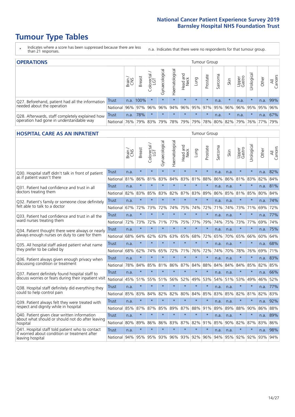# **Tumour Type Tables**

- \* Indicates where a score has been suppressed because there are less than 21 responses.
- n.a. Indicates that there were no respondents for that tumour group.

| <b>OPERATIONS</b>                                |            |       |               |                        |                                     |                |                  |             | Tumour Group |         |         |                 |                                  |       |                |
|--------------------------------------------------|------------|-------|---------------|------------------------|-------------------------------------|----------------|------------------|-------------|--------------|---------|---------|-----------------|----------------------------------|-------|----------------|
|                                                  |            | Brain | <b>Breast</b> | olorectal.<br>LGT<br>Ü | $\overline{\sigma}$<br>Gynaecologic | Haematological | Head and<br>Neck | <b>Dung</b> | Prostate     | Sarcoma | Skin    | Upper<br>Gastro | $\overline{\sigma}$<br>Jrologica | Other | All<br>Cancers |
| Q27. Beforehand, patient had all the information | Trust      |       | n.a. 100%     |                        | $\star$                             | $\star$        | $\star$          | $\star$     | $\star$      | n.a.    | $\star$ | n.a.            | $\star$                          | n.a.  | 99%            |
| needed about the operation                       | National   | 96%   | 97%           | 96%                    |                                     | 96% 94%        |                  | 96% 95% 97% |              |         | 95% 96% | 96%             | 95% 95%                          |       | 96%            |
| Q28. Afterwards, staff completely explained how  | Trust      | n.a.  | 78%           | $\star$                | $\star$                             | $\star$        | $\star$          | $\star$     | $\star$      | n.a.    | $\star$ | n.a.            | $\star$                          | n.a.  | 67%            |
| operation had gone in understandable way         | National I | 76%   |               | 79% 83%                |                                     |                | 79% 78% 79%      |             |              |         |         |                 | 79% 78% 80% 82% 79% 76% 77%      |       | 79%            |

### **HOSPITAL CARE AS AN INPATIENT** TUMOUR STOUP TUMOUR Group

|                                                                                                  |              | Brain | <b>Breast</b> | Colorectal /<br>LGT | Gynaecological | Haematological | Head and<br><b>Neck</b> | Lung        | Prostate | Sarcoma | Skin | Upper<br>Gastro | Urological | Other   | Cancers<br>$\overline{\overline{z}}$ |
|--------------------------------------------------------------------------------------------------|--------------|-------|---------------|---------------------|----------------|----------------|-------------------------|-------------|----------|---------|------|-----------------|------------|---------|--------------------------------------|
| Q30. Hospital staff didn't talk in front of patient                                              | Trust        | n.a.  | $\star$       | $\star$             | $\star$        | $\star$        | $\star$                 | $\star$     | $\star$  | n.a.    | n.a. | $\star$         | $\star$    | n.a.    | 82%                                  |
| as if patient wasn't there                                                                       | National     | 81%   | 86%           | 81%                 | 83%            | 84%            |                         | 83% 81%     | 88%      | 86%     | 86%  | 81%             | 83%        | 82%     | 84%                                  |
| 031. Patient had confidence and trust in all                                                     | <b>Trust</b> | n.a.  | $\star$       | $\star$             | $\star$        | $\star$        | $\star$                 | $\star$     | $\star$  | n.a.    | n.a. |                 | $\star$    | n.a.    | 81%                                  |
| doctors treating them                                                                            | National     | 82%   | 83%           | 85%                 | 83%            | 82%            | 87%                     | 83%         | 89%      | 86%     | 85%  | 81%             | 85%        | 80%     | 84%                                  |
| Q32. Patient's family or someone close definitely                                                | <b>Trust</b> | n.a.  | $\star$       | $\star$             | $\star$        | $\star$        | $\star$                 | $\star$     | $\star$  | n.a.    | n.a. |                 | $\star$    | n.a.    | 74%                                  |
| felt able to talk to a doctor                                                                    | National     | 67%   | 72%           | 73%                 | 72%            | 74%            | 75%                     | 74%         | 72%      | 71%     | 74%  | 73%             | 71%        | 69%     | 72%                                  |
| Q33. Patient had confidence and trust in all the                                                 | <b>Trust</b> | n.a.  | $\star$       | $\star$             | $\star$        | $\star$        | $\star$                 | $\star$     | $\star$  | n.a.    | n.a. | $\star$         | $\star$    | n.a.    | 77%                                  |
| ward nurses treating them                                                                        | National     | 72%   | 73%           | 72%                 | 71%            | 77%            | 75%                     | 77%         | 79%      | 74%     | 75%  |                 | 73% 77%    | 69%     | 74%                                  |
| Q34. Patient thought there were always or nearly                                                 | <b>Trust</b> | n.a.  | $\star$       | $\star$             | $\star$        | $\star$        | $\star$                 | $\star$     | $\star$  | n.a.    | n.a. |                 | $\star$    | n.a.    | 75%                                  |
| always enough nurses on duty to care for them                                                    | National     | 68%   | 64%           | 62%                 | 63%            | 63%            | 65%                     | 68%         | 72%      | 65%     | 70%  | 65%             | 66%        | 60%     | 64%                                  |
| Q35. All hospital staff asked patient what name                                                  | Trust        | n.a.  | $\star$       | $\star$             | $\star$        | $\star$        | $\star$                 | $\star$     | $\star$  | n.a.    | n.a. |                 | $\star$    | n.a.    | 68%                                  |
| they prefer to be called by                                                                      | National     | 68%   | 62%           | 74%                 | 65%            | 72%            | 71%                     | 76%         | 72%      | 74%     | 70%  | 78%             | 76%        | 69%     | 71%                                  |
| Q36. Patient always given enough privacy when                                                    | <b>Trust</b> | n.a.  | $\star$       | $\star$             | $\star$        | $\star$        | $\star$                 | $\star$     | $\star$  | n.a.    | n.a. |                 | $\star$    | n.a.    | 83%                                  |
| discussing condition or treatment                                                                | National     | 78%   | 84%           | 85%                 | 81%            | 86%            | 87%                     | 84%         | 88%      | 84%     | 84%  | 84%             | 85%        | 82% 85% |                                      |
| Q37. Patient definitely found hospital staff to                                                  | <b>Trust</b> | n.a.  | $\star$       | $\star$             | $\star$        | $\star$        | $\star$                 | $\star$     | $\star$  | n.a.    | n.a. |                 | $\star$    | n.a.    | 66%                                  |
| discuss worries or fears during their inpatient visit                                            | National     | 45%   | 51%           | 55%                 | 51%            | 56%            | 52%                     | 49%         | 53%      | 54%     | 51%  |                 | 53% 49%    | 46%     | 52%                                  |
| Q38. Hospital staff definitely did everything they                                               | <b>Trust</b> | n.a.  | $\star$       | $\star$             | $\star$        | $\star$        | $\star$                 | $\star$     | $\star$  | n.a.    | n.a. | $\star$         | $\star$    | n.a.    | 77%                                  |
| could to help control pain                                                                       | National     | 85%   | 83%           | 84%                 | 82%            | 82%            | 80%                     | 84%         | 85%      | 83%     | 85%  | 82%             | 81%        | 82%     | 83%                                  |
| Q39. Patient always felt they were treated with                                                  | Trust        | n.a.  | $\star$       | $\star$             | $\star$        | $\star$        | $\star$                 | $\star$     | $\star$  | n.a.    | n.a. | $\star$         | $\star$    | n.a.    | 92%                                  |
| respect and dignity while in hospital                                                            | National     | 85%   | 87%           | 87%                 | 85%            | 89%            | 87%                     | 88%         | 91%      | 89%     | 89%  | 88%             | 90%        | 86%     | 88%                                  |
| Q40. Patient given clear written information<br>about what should or should not do after leaving | <b>Trust</b> | n.a.  | $\star$       | $\star$             | $\star$        | $\star$        | $\star$                 | $\star$     | $\star$  | n.a.    | n.a. |                 | $\star$    | n.a.    | 89%                                  |
| hospital                                                                                         | National     | 80%   | 89%           | 86%                 | 86%            | 83%            |                         | 87% 82%     | 91%      | 85%     | 90%  | 82%             | 87%        | 83%     | 86%                                  |
| Q41. Hospital staff told patient who to contact<br>if worried about condition or treatment after | <b>Trust</b> | n.a.  | $\star$       | $\star$             | $\star$        | $\star$        | $\star$                 | $\star$     | $\star$  | n.a.    | n.a. | $\star$         | $\star$    | n.a.    | 98%                                  |
| leaving hospital                                                                                 | National I   | 94%   |               | 95% 95% 93%         |                |                |                         | 96% 93% 92% | 96%      | 94%     |      | 95% 92%         | 92%        | 93% 94% |                                      |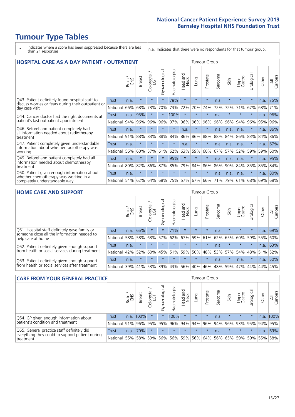# **Tumour Type Tables**

- \* Indicates where a score has been suppressed because there are less than 21 responses.
- n.a. Indicates that there were no respondents for that tumour group.

| <b>HOSPITAL CARE AS A DAY PATIENT / OUTPATIENT</b>                                     |              |       |               |                                   |                |                |                         |         |          | <b>Tumour Group</b> |         |                 |            |       |                |  |  |
|----------------------------------------------------------------------------------------|--------------|-------|---------------|-----------------------------------|----------------|----------------|-------------------------|---------|----------|---------------------|---------|-----------------|------------|-------|----------------|--|--|
|                                                                                        |              | Brain | <b>Breast</b> | ╮<br>olorectal /<br>LGT<br>$\cup$ | Gynaecological | Haematological | ead and<br>Neck<br>Head | Lung    | Prostate | Sarcoma             | Skin    | Upper<br>Gastro | Urological | Other | All<br>Cancers |  |  |
| Q43. Patient definitely found hospital staff to                                        | Trust        | n.a.  | $\star$       | $\star$                           | $\star$        | 78%            | $\star$                 | $\star$ | $\star$  | n.a.                | $\star$ | $\star$         | $\star$    | n.a.  | 75%            |  |  |
| discuss worries or fears during their outpatient or<br>day case visit                  | National     | 66%   | 68%           | 73%                               | 70%            | 73%            | 72%                     | 70%     | 74%      | 72%                 | 72%     | 71%             | 67%        | 68%   | 71%            |  |  |
| Q44. Cancer doctor had the right documents at<br>patient's last outpatient appointment | Trust        | n.a.  | 95%           |                                   |                | 100%           | $\star$                 | $\star$ | $\star$  | n.a.                |         |                 | $\star$    | n.a.  | 96%            |  |  |
|                                                                                        | National     | 94%   | 96%           | 96%                               | 96%            | 97%            | 96%                     | 96%     | 96%      | 96%                 | 96%     | 94%             | 96%        | 95%   | 96%            |  |  |
| Q46. Beforehand patient completely had                                                 | Trust        | n.a.  | $\star$       | $\star$                           | $\star$        | $\star$        | n.a.                    | $\star$ | $\star$  | n.a.                | n.a.    | n.a.            | $\star$    | n.a.  | 86%            |  |  |
| all information needed about radiotherapy<br>treatment                                 | National     | 91%   | 88%           | 83%                               | 88%            | 84%            | 86%                     | 86%     | 88%      | 88%                 | 84%     | 86%             | 83%        | 84%   | 86%            |  |  |
| Q47. Patient completely given understandable                                           | Trust        | n.a.  | $\star$       | $\star$                           | $\star$        | $\star$        | n.a.                    | $\star$ | $\star$  | n.a.                | n.a.    | n.a.            | $\star$    | n.a.  | 67%            |  |  |
| information about whether radiotherapy was<br>working                                  | National     | 56%   | 60%           | 57%                               | 61%            | 62%            | 63%                     | 59%     | 60%      | 67%                 | 57%     | 52%             | 59%        | 59%   | 60%            |  |  |
| Q49. Beforehand patient completely had all                                             | <b>Trust</b> | n.a.  | $\star$       | $\star$                           | $\star$        | 95%            | $\star$                 | $\star$ | $\star$  | n.a.                | n.a.    | n.a.            | $^\star$   | n.a.  | 95%            |  |  |
| information needed about chemotherapy<br>treatment                                     | National     | 80%   | 82%           | 86%                               | 87%            | 85%            | 79%                     | 84%     | 86%      | 86%                 | 90%     | 84%             | 85%        | 85%   | 84%            |  |  |
| Q50. Patient given enough information about                                            | Trust        | n.a.  | $\star$       | $\star$                           |                |                | $\star$                 | $\star$ | $\star$  | n.a.                | n.a.    | n.a.            | $^\star$   | n.a.  | 80%            |  |  |
| whether chemotherapy was working in a<br>completely understandable way                 | National     | 54%   | 62%           | 64%                               | 68%            | 75%            |                         | 57% 67% | 66%      | 71%                 | 79%     | 61%             | 68%        | 69%   | 68%            |  |  |

### **HOME CARE AND SUPPORT** Tumour Group

|                                                                                                                   |              | Brain | <b>Breast</b> | olorectal<br>LGT<br>Ü | ᢛ<br>Gynaecologic | Haematological | ad and<br>Neck<br>Head | <b>Dung</b> | Prostate | Sarcoma | Skin    | Upper<br>Gastro | Urological | Other | All<br>Cancers |
|-------------------------------------------------------------------------------------------------------------------|--------------|-------|---------------|-----------------------|-------------------|----------------|------------------------|-------------|----------|---------|---------|-----------------|------------|-------|----------------|
| Q51. Hospital staff definitely gave family or<br>someone close all the information needed to<br>help care at home | <b>Trust</b> | n.a.  | 65%           |                       | $\star$           | 71%            | $\star$                | $\star$     | $\star$  | n.a.    | $\star$ | $\star$         | $\star$    | n.a.  | 69%            |
|                                                                                                                   | National     | 58%   | 58%           | 63%                   | 57%               | 62% 67%        |                        |             | 59% 61%  | 62%     | 65%     | 60%             | 59%        | 55%   | 60%            |
| Q52. Patient definitely given enough support<br>from health or social services during treatment                   | Trust        | n.a.  | $\star$       | $\star$               | $\star$           | $\star$        | $\star$                | $\star$     | $\star$  | n.a.    | $\star$ | $\star$         | $\star$    | n.a.  | 63%            |
|                                                                                                                   | National     | 42%   | 52%           | 60%                   | 45%               | $ 51\% $       | 59%                    | 50%         | 48%      | 53%     | 57%     | 54%             | 48%        | 51%   | 52%            |
| Q53. Patient definitely given enough support<br>from health or social services after treatment                    | Trust        | n.a.  | $\star$       | $\star$               | $\star$           | $\star$        | $\star$                | $\star$     | $\star$  | n.a.    | $\star$ | n.a.            | $\star$    | n.a.  | 50%            |
|                                                                                                                   | National 39% |       | 41%           | 53%                   | 39%               | $ 43\% $       | 56%                    | 40%         | 46%      |         | 48% 59% | 47%             | $ 44\% $   | 44%   | 45%            |

| <b>CARE FROM YOUR GENERAL PRACTICE</b>                                                                     |              |        |               |                        |               | <b>Tumour Group</b> |                  |         |          |         |                             |                 |                      |         |                |
|------------------------------------------------------------------------------------------------------------|--------------|--------|---------------|------------------------|---------------|---------------------|------------------|---------|----------|---------|-----------------------------|-----------------|----------------------|---------|----------------|
|                                                                                                            |              | Brain, | <b>Breast</b> | ╮<br>Colorectal<br>LGT | Gynaecologica | Haematological      | Head and<br>Neck | Lung    | Prostate | Sarcoma | Skin                        | Upper<br>Gastro | $\sigma$<br>Urologic | Other   | All<br>Cancers |
| Q54. GP given enough information about<br>patient's condition and treatment                                | Trust        | n.a.   | 100%          | $\star$                |               | 100%                | $\star$          | $\star$ | $\star$  | n.a.    | $\star$                     | $\star$         | $\star$              | n.a.    | 100%           |
|                                                                                                            | National 91% |        |               | 96% 95%                | 95%           |                     | 96% 94% 94% 96%  |         |          |         | 94% 96% 93% 95%             |                 |                      | 94%     | 95%            |
| Q55. General practice staff definitely did<br>everything they could to support patient during<br>treatment | <b>Trust</b> | n.a.   | 70%           |                        | $\star$       | $\star$             | $\star$          | $\star$ | $\star$  | n.a.    | $\star$                     | $\star$         | $\star$              | n.a.    | 69%            |
|                                                                                                            | National 55% |        |               |                        | 58% 59% 56%   |                     |                  |         |          |         | 56% 59% 56% 64% 56% 65% 59% |                 |                      | 59% 55% | 58%            |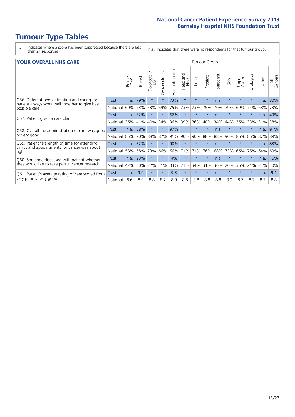# **Tumour Type Tables**

\* Indicates where a score has been suppressed because there are less than 21 responses.

n.a. Indicates that there were no respondents for that tumour group.

|  | <b>YOUR OVERALL NHS CARE</b> |  |
|--|------------------------------|--|
|  |                              |  |

| <b>YOUR OVERALL NHS CARE</b>                                                                                     |              |       |               |                   |                |                | <b>Tumour Group</b> |             |          |         |         |                 |            |       |                |  |
|------------------------------------------------------------------------------------------------------------------|--------------|-------|---------------|-------------------|----------------|----------------|---------------------|-------------|----------|---------|---------|-----------------|------------|-------|----------------|--|
|                                                                                                                  |              | Brain | <b>Breast</b> | Colorectal<br>LGT | Gynaecological | Haematological | Head and<br>Neck    | <b>Dung</b> | Prostate | Sarcoma | Skin    | Upper<br>Gastro | Urological | Other | All<br>Cancers |  |
| Q56. Different people treating and caring for<br>patient always work well together to give best<br>possible care | <b>Trust</b> | n.a.  | 79%           | $\star$           | $\star$        | 73%            | $\star$             | $\star$     | $\star$  | n.a.    | $\star$ | $\star$         | $\star$    | n.a.  | 80%            |  |
|                                                                                                                  | National     | 60%   | 73%           | 73%               | 69%            | 75%            | 73%                 | 73%         | 75%      | 70%     | 79%     | 69%             | 74%        | 68%   | 73%            |  |
| Q57. Patient given a care plan                                                                                   | Trust        | n.a.  | 52%           | $\star$           | $\star$        | 62%            | $\star$             | $\star$     | $\star$  | n.a.    | $\star$ | $\star$         | $\star$    | n.a.  | 49%            |  |
|                                                                                                                  | National     | 36%   | 41%           | 40%               | 34%            | 36%            | 39%                 | 36%         | 40%      | 34%     | 44%     | 36%             | 33%        | 31%   | 38%            |  |
| Q58. Overall the administration of care was good                                                                 | <b>Trust</b> | n.a.  | 88%           | $\star$           | $\star$        | 97%            | $\star$             | $\star$     | $\star$  | n.a.    | $\star$ |                 | $\star$    |       | $n.a.$ 91%     |  |
| or very good                                                                                                     | National     | 85%   | 90%           | 88%               | 87%            | 91%            | 90%                 | 90%         | 88%      | 88%     | 90%     | 86%             | 85%        | 87%   | 89%            |  |
| Q59. Patient felt length of time for attending<br>clinics and appointments for cancer was about                  | <b>Trust</b> |       | n.a. 82%      | $\star$           |                | 90%            | $\star$             | $\star$     | $\star$  | n.a.    | $\star$ | $\star$         |            | n.a.  | 83%            |  |
| right                                                                                                            | National     | 58%   | 68%           | 73%               | 66%            | 66%            | 71%                 | 71%         | 76%      | 68%     | 73%     | 66%             | 75%        | 64%   | 69%            |  |
| Q60. Someone discussed with patient whether                                                                      | Trust        | n.a.  | 23%           | $\star$           | $\star$        | 4%             | $\star$             | $\star$     | $\star$  | n.a.    | $\star$ | $\star$         | $\star$    | n.a.  | 16%            |  |
| they would like to take part in cancer research                                                                  | National     | 42%   | 30%           | 32%               | 31%            | 33%            | 21%                 | 34%         | 31%      | 36%     | 20%     | 36%             | 21%        | 32%   | 30%            |  |
| Q61. Patient's average rating of care scored from<br>very poor to very good                                      | Trust        | n.a.  | 9.0           | $\star$           | $\star$        | 9.3            | $\star$             | $\star$     | $\star$  | n.a.    | $\star$ | $\star$         | $\star$    | n.a.  | 9.1            |  |
|                                                                                                                  | National     | 8.6   | 8.9           | 8.8               | 8.7            | 8.9            | 8.8                 | 8.8         | 8.8      | 8.8     | 8.9     | 8.7             | 8.7        | 8.7   | 8.8            |  |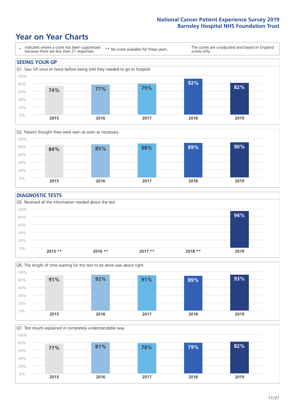### **Year on Year Charts**





### **DIAGNOSTIC TESTS**





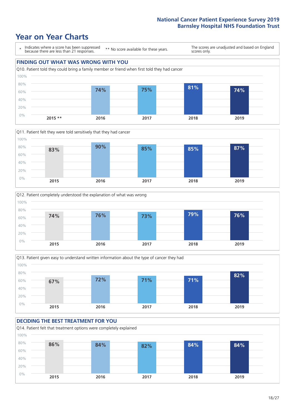







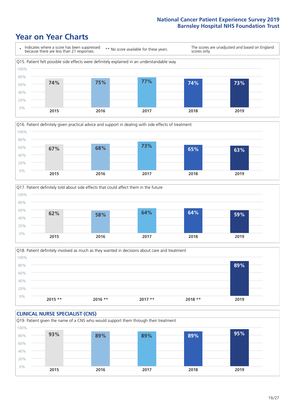







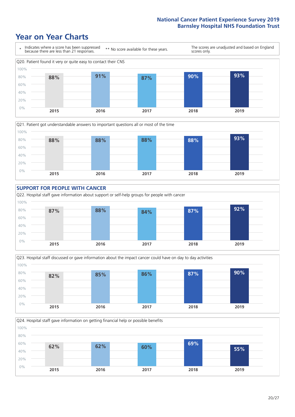### **Year on Year Charts**









Q24. Hospital staff gave information on getting financial help or possible benefits

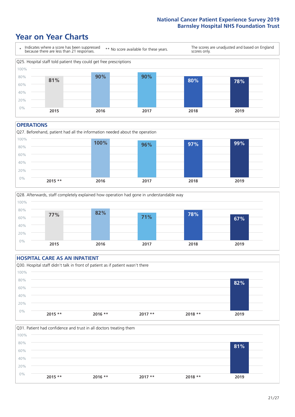### **Year on Year Charts**



#### **OPERATIONS**

Q27. Beforehand, patient had all the information needed about the operation  $0%$ 20% 40% 60% 80% 100% **2015 \*\* 2016 2017 2018 2019 100% 96% 97% 99%**



### **HOSPITAL CARE AS AN INPATIENT** Q30. Hospital staff didn't talk in front of patient as if patient wasn't there 0% 20% 40% 60% 80% 100% **2015 \*\* 2016 \*\* 2017 \*\* 2018 \*\* 2019 82%**

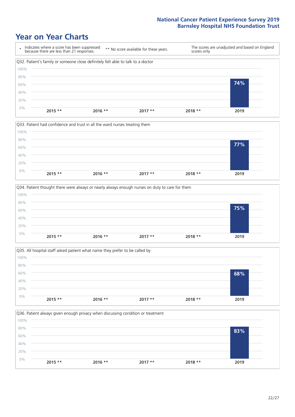







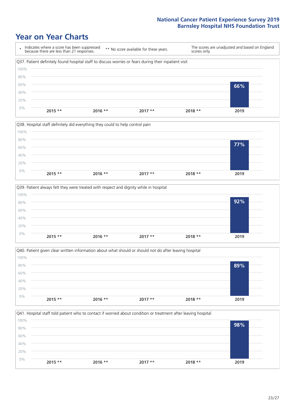







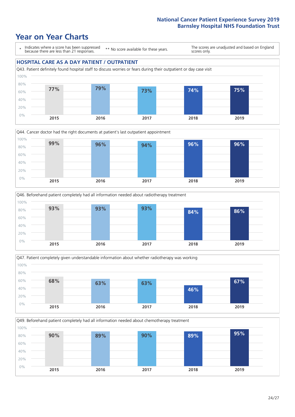







Q49. Beforehand patient completely had all information needed about chemotherapy treatment

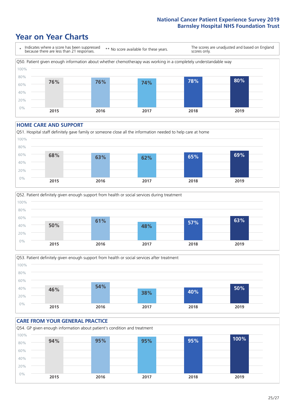### **Year on Year Charts**



#### **HOME CARE AND SUPPORT**







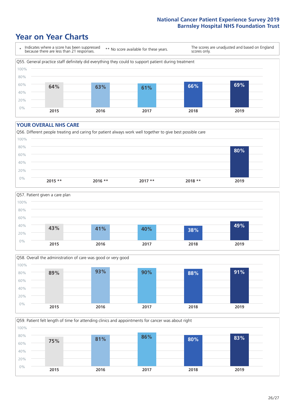### **Year on Year Charts**



#### **YOUR OVERALL NHS CARE**







Q59. Patient felt length of time for attending clinics and appointments for cancer was about right 0% 20% 40% 60% 80% 100% **2015 2016 2017 2018 2019 75% 81% 86% 80% 83%**